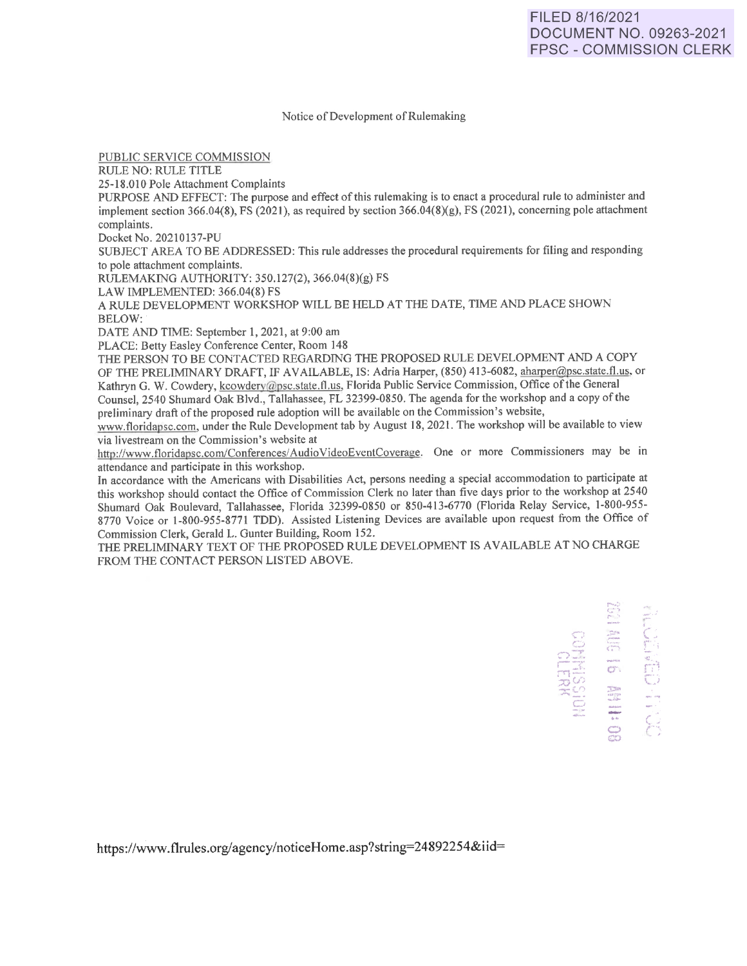Notice of Development of Rulemaking

PUBLIC SERVICE COMMISSION

RULE NO: RULE TITLE

25-18.010 Pole Attachment Complaints

PURPOSE AND EFFECT: The purpose and effect of this rulemaking is to enact a procedural rule to administer and implement section 366.04(8), FS (2021), as required by section 366.04(8)(g), FS (2021), concerning pole attachment complaints.

Docket No. 20210137-PU

SUBJECT AREA TO BE ADDRESSED: This rule addresses the procedural requirements for filing and responding to pole attachment complaints.

RULEMAKING AUTHORITY: 350.127(2), 366.04(8)(g) FS

LAW IMPLEMENTED: 366.04(8) FS

A RULE DEVELOPMENT WORKSHOP WILL BE HELD AT THE DATE, TIME AND PLACE SHOWN BELOW:

DATE AND TIME: September 1, 2021, at 9:00 am

PLACE: Betty Easley Conference Center, Room 148

THE PERSON TO BE CONTACTED REGARDING THE PROPOSED RULE DEVELOPMENT AND A COPY OF THE PRELIMINARY DRAFT, IF AVAILABLE, IS: Adria Harper, (850) 413-6082, aharper@psc.state.fl.us, or Kathryn G. W. Cowdery, kcowdery@psc.state.fl.us, Florida Public Service Commission, Office of the General Counsel, 2540 Shumard Oak Blvd., Tallahassee, FL 32399-0850. The agenda for the workshop and a copy of the preliminary draft of the proposed rule adoption will be available on the Commission's website,

www.floridapsc.com, under the Rule Development tab by August 18, 2021. The workshop will be available to view via Iivestream on the Commission's website at

http://www.floridapsc.com/Conferences/AudioVideoEventCoverage. One or more Commissioners may be in attendance and participate in this workshop.

In accordance with the Americans with Disabilities Act, persons needing a special accommodation to participate at this workshop should contact the Office of Commission Clerk no later than five days prior to the workshop at 2540 Shumard Oak Boulevard, Tallahassee, Florida 32399-0850 or 850-413-6770 (Florida Relay Service, l-800-955- 8770 Voice or 1-800-955-8771 TDD). Assisted Listening Devices are available upon request from the Office of Commission Clerk, Gerald L. Gunter Building, Room 152.

THE PRELIMINARY TEXT OF THE PROPOSED RULE DEVELOPMENT IS AVAILABLE AT NO CHARGE FROM THE CONTACT PERSON LISTED ABOVE.

> **HOISSINNOS** ....... (,. 'lo •'  $\begin{picture}(20,10) \put(0,0){\line(1,0){10}} \put(15,0){\line(1,0){10}} \put(15,0){\line(1,0){10}} \put(15,0){\line(1,0){10}} \put(15,0){\line(1,0){10}} \put(15,0){\line(1,0){10}} \put(15,0){\line(1,0){10}} \put(15,0){\line(1,0){10}} \put(15,0){\line(1,0){10}} \put(15,0){\line(1,0){10}} \put(15,0){\line(1,0){10}} \put(15,0){\line(1$ er. .-  $\sum_{i=1}^n$  $\ddot{\Xi}$  $\mathfrak{S}$

https://www.flrules.org/agency/noticeHome.asp?string=24892254&iid=